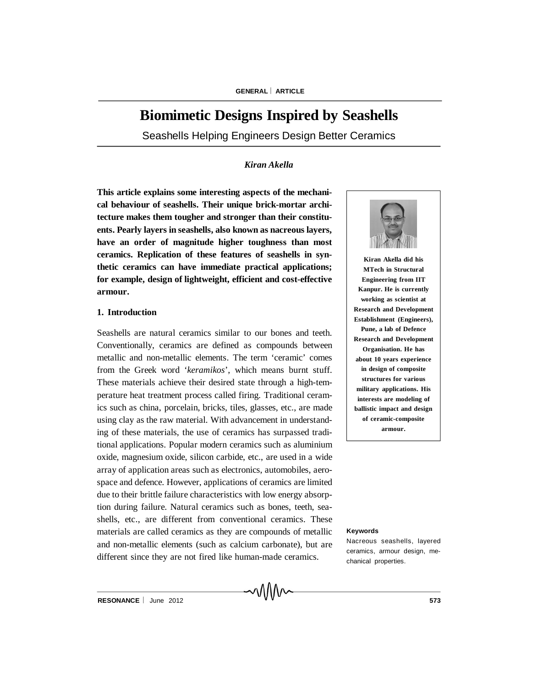# **Biomimetic Designs Inspired by Seashells**

Seashells Helping Engineers Design Better Ceramics

# *Kiran Akella*

**This article explains some interesting aspects of the mechanical behaviour of seashells. Their unique brick-mortar architecture makes them tougher and stronger than their constituents. Pearly layers in seashells, also known as nacreous layers, have an order of magnitude higher toughness than most ceramics. Replication of these features of seashells in synthetic ceramics can have immediate practical applications; for example, design of lightweight, efficient and cost-effective armour.**

# **1. Introduction**

Seashells are natural ceramics similar to our bones and teeth. Conventionally, ceramics are defined as compounds between metallic and non-metallic elements. The term 'ceramic' comes from the Greek word '*keramikos*', which means burnt stuff. These materials achieve their desired state through a high-temperature heat treatment process called firing. Traditional ceramics such as china, porcelain, bricks, tiles, glasses, etc., are made using clay as the raw material. With advancement in understanding of these materials, the use of ceramics has surpassed traditional applications. Popular modern ceramics such as aluminium oxide, magnesium oxide, silicon carbide, etc., are used in a wide array of application areas such as electronics, automobiles, aerospace and defence. However, applications of ceramics are limited due to their brittle failure characteristics with low energy absorption during failure. Natural ceramics such as bones, teeth, seashells, etc., are different from conventional ceramics. These materials are called ceramics as they are compounds of metallic and non-metallic elements (such as calcium carbonate), but are different since they are not fired like human-made ceramics.



**Kiran Akella did his MTech in Structural Engineering from IIT Kanpur. He is currently working as scientist at Research and Development Establishment (Engineers), Pune, a lab of Defence Research and Development Organisation. He has about 10 years experience in design of composite structures for various military applications. His interests are modeling of ballistic impact and design of ceramic-composite armour.**

#### **Keywords**

Nacreous seashells, layered ceramics, armour design, mechanical properties.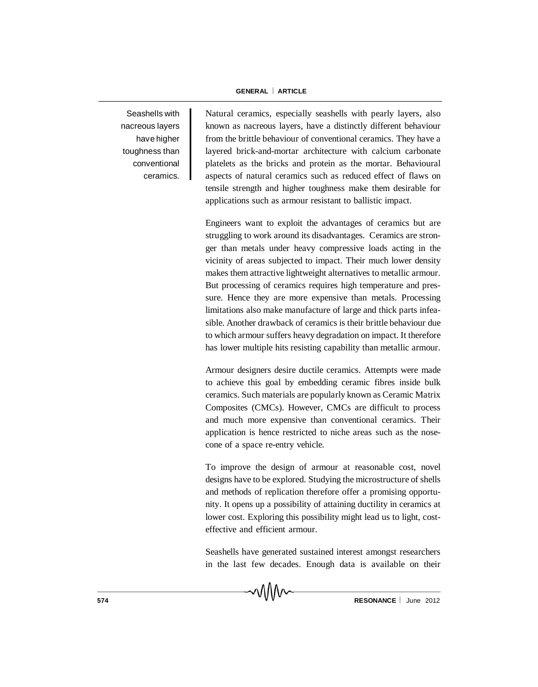Seashells with nacreous layers have higher toughness than conventional ceramics.

Natural ceramics, especially seashells with pearly layers, also known as nacreous layers, have a distinctly different behaviour from the brittle behaviour of conventional ceramics. They have a layered brick-and-mortar architecture with calcium carbonate platelets as the bricks and protein as the mortar. Behavioural aspects of natural ceramics such as reduced effect of flaws on tensile strength and higher toughness make them desirable for applications such as armour resistant to ballistic impact.

Engineers want to exploit the advantages of ceramics but are struggling to work around its disadvantages. Ceramics are stronger than metals under heavy compressive loads acting in the vicinity of areas subjected to impact. Their much lower density makes them attractive lightweight alternatives to metallic armour. But processing of ceramics requires high temperature and pressure. Hence they are more expensive than metals. Processing limitations also make manufacture of large and thick parts infeasible. Another drawback of ceramics is their brittle behaviour due to which armour suffers heavy degradation on impact. It therefore has lower multiple hits resisting capability than metallic armour.

Armour designers desire ductile ceramics. Attempts were made to achieve this goal by embedding ceramic fibres inside bulk ceramics. Such materials are popularly known as Ceramic Matrix Composites (CMCs). However, CMCs are difficult to process and much more expensive than conventional ceramics. Their application is hence restricted to niche areas such as the nosecone of a space re-entry vehicle.

To improve the design of armour at reasonable cost, novel designs have to be explored. Studying the microstructure of shells and methods of replication therefore offer a promising opportunity. It opens up a possibility of attaining ductility in ceramics at lower cost. Exploring this possibility might lead us to light, costeffective and efficient armour.

Seashells have generated sustained interest amongst researchers in the last few decades. Enough data is available on their

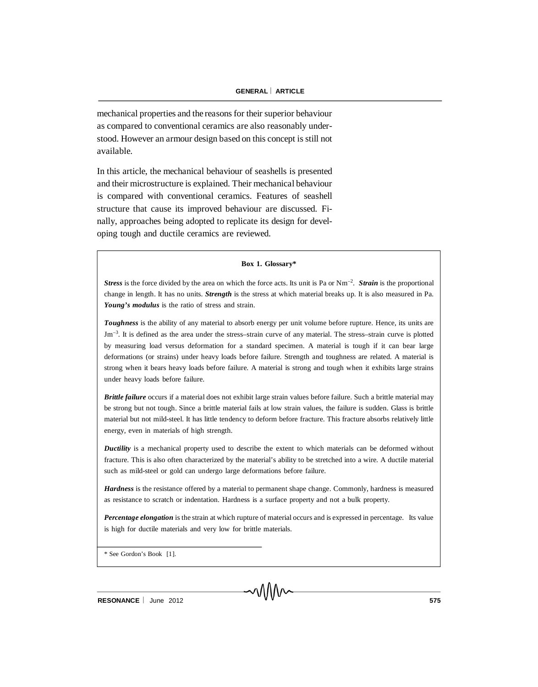mechanical properties and the reasons for their superior behaviour as compared to conventional ceramics are also reasonably understood. However an armour design based on this concept is still not available.

In this article, the mechanical behaviour of seashells is presented and their microstructure is explained. Their mechanical behaviour is compared with conventional ceramics. Features of seashell structure that cause its improved behaviour are discussed. Finally, approaches being adopted to replicate its design for developing tough and ductile ceramics are reviewed.

## **Box 1. Glossary\***

*Stress* is the force divided by the area on which the force acts. Its unit is Pa or Nm<sup>-2</sup>. *Strain* is the proportional change in length. It has no units. *Strength* is the stress at which material breaks up. It is also measured in Pa. *Young's modulus* is the ratio of stress and strain.

*Toughness* is the ability of any material to absorb energy per unit volume before rupture. Hence, its units are Jm<sup>-3</sup>. It is defined as the area under the stress–strain curve of any material. The stress–strain curve is plotted by measuring load versus deformation for a standard specimen. A material is tough if it can bear large deformations (or strains) under heavy loads before failure. Strength and toughness are related. A material is strong when it bears heavy loads before failure. A material is strong and tough when it exhibits large strains under heavy loads before failure.

*Brittle failure* occurs if a material does not exhibit large strain values before failure. Such a brittle material may be strong but not tough. Since a brittle material fails at low strain values, the failure is sudden. Glass is brittle material but not mild-steel. It has little tendency to deform before fracture. This fracture absorbs relatively little energy, even in materials of high strength.

*Ductility* is a mechanical property used to describe the extent to which materials can be deformed without fracture. This is also often characterized by the material's ability to be stretched into a wire. A ductile material such as mild-steel or gold can undergo large deformations before failure.

*Hardness* is the resistance offered by a material to permanent shape change. Commonly, hardness is measured as resistance to scratch or indentation. Hardness is a surface property and not a bulk property.

*Percentage elongation* is the strain at which rupture of material occurs and is expressed in percentage. Its value is high for ductile materials and very low for brittle materials.

\* See Gordon's Book [1].

**RESONANCE** | June 2012 **575**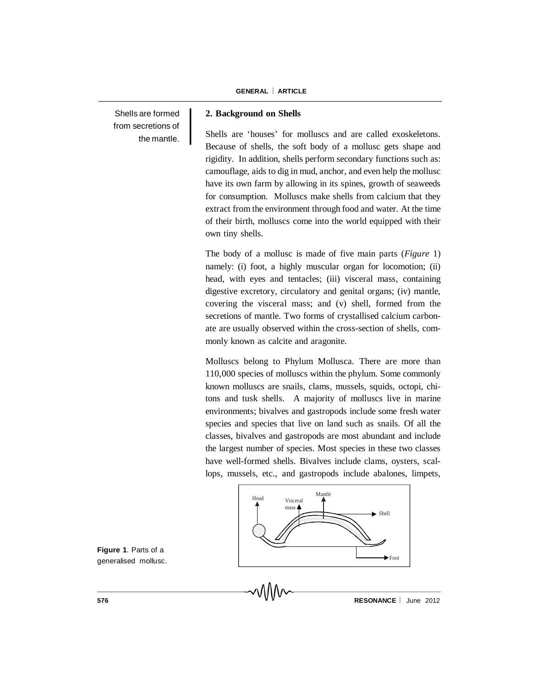Shells are formed from secretions of the mantle.

# **2. Background on Shells**

Shells are 'houses' for molluscs and are called exoskeletons. Because of shells, the soft body of a mollusc gets shape and rigidity. In addition, shells perform secondary functions such as: camouflage, aids to dig in mud, anchor, and even help the mollusc have its own farm by allowing in its spines, growth of seaweeds for consumption. Molluscs make shells from calcium that they extract from the environment through food and water. At the time of their birth, molluscs come into the world equipped with their own tiny shells.

The body of a mollusc is made of five main parts (*Figure* 1) namely: (i) foot, a highly muscular organ for locomotion; (ii) head, with eyes and tentacles; (iii) visceral mass, containing digestive excretory, circulatory and genital organs; (iv) mantle, covering the visceral mass; and (v) shell, formed from the secretions of mantle. Two forms of crystallised calcium carbonate are usually observed within the cross-section of shells, commonly known as calcite and aragonite.

Molluscs belong to Phylum Mollusca. There are more than 110,000 species of molluscs within the phylum. Some commonly known molluscs are snails, clams, mussels, squids, octopi, chitons and tusk shells. A majority of molluscs live in marine environments; bivalves and gastropods include some fresh water species and species that live on land such as snails. Of all the classes, bivalves and gastropods are most abundant and include the largest number of species. Most species in these two classes have well-formed shells. Bivalves include clams, oysters, scallops, mussels, etc., and gastropods include abalones, limpets,



**Figure 1**. Parts of a generalised mollusc.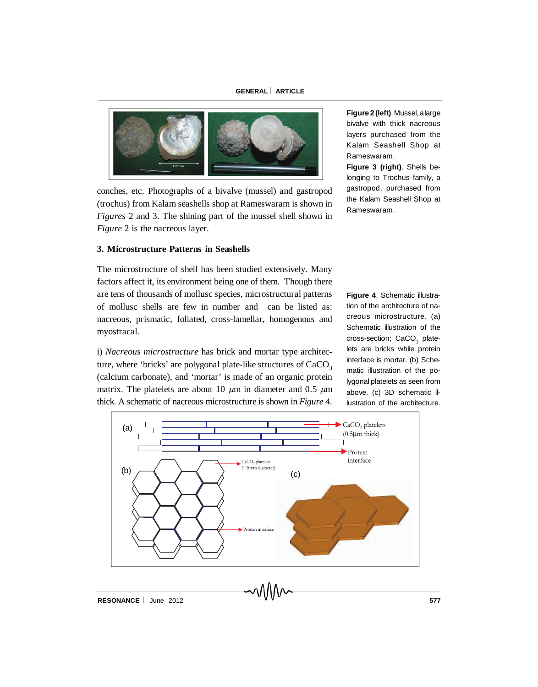

conches, etc. Photographs of a bivalve (mussel) and gastropod (trochus) from Kalam seashells shop at Rameswaram is shown in *Figures* 2 and 3. The shining part of the mussel shell shown in *Figure* 2 is the nacreous layer.

# **3. Microstructure Patterns in Seashells**

The microstructure of shell has been studied extensively. Many factors affect it, its environment being one of them. Though there are tens of thousands of mollusc species, microstructural patterns of mollusc shells are few in number and can be listed as: nacreous, prismatic, foliated, cross-lamellar, homogenous and myostracal.

i) *Nacreous microstructure* has brick and mortar type architecture, where 'bricks' are polygonal plate-like structures of  $CaCO<sub>3</sub>$ (calcium carbonate), and 'mortar' is made of an organic protein matrix. The platelets are about 10  $\mu$ m in diameter and 0.5  $\mu$ m thick. A schematic of nacreous microstructure is shown in *Figure* 4.



**Figure 2 (left)**.Mussel,alarge bivalve with thick nacreous layers purchased from the Kalam Seashell Shop at Rameswaram.

**Figure 3 (right)**. Shells belonging to Trochus family, a gastropod, purchased from the Kalam Seashell Shop at Rameswaram.

**Figure 4**. Schematic illustration of the architecture of nacreous microstructure. (a) Schematic illustration of the cross-section; CaCO<sub>3</sub> platelets are bricks while protein interface is mortar. (b) Schematic illustration of the polygonal platelets as seen from above. (c) 3D schematic illustration of the architecture.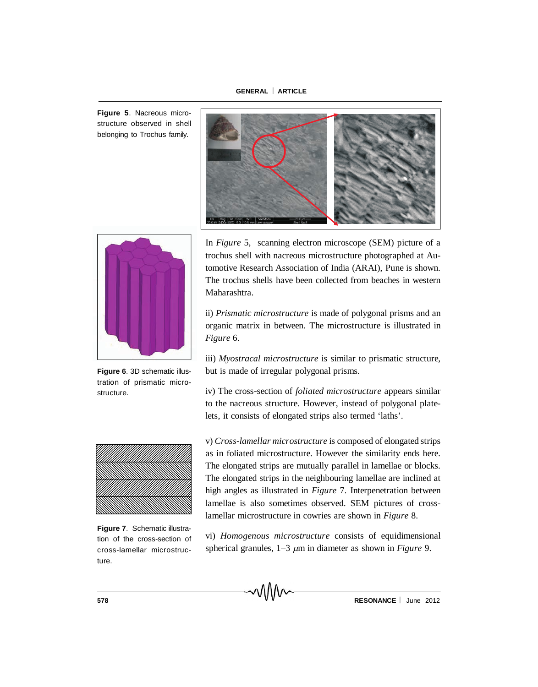**Figure 5**. Nacreous microstructure observed in shell belonging to Trochus family.





**Figure 6**. 3D schematic illustration of prismatic microstructure.

In *Figure* 5, scanning electron microscope (SEM) picture of a trochus shell with nacreous microstructure photographed at Automotive Research Association of India (ARAI), Pune is shown. The trochus shells have been collected from beaches in western Maharashtra.

ii) *Prismatic microstructure* is made of polygonal prisms and an organic matrix in between. The microstructure is illustrated in *Figure* 6.

iii) *Myostracal microstructure* is similar to prismatic structure, but is made of irregular polygonal prisms.

iv) The cross-section of *foliated microstructure* appears similar to the nacreous structure. However, instead of polygonal platelets, it consists of elongated strips also termed 'laths'.



**Figure 7**. Schematic illustration of the cross-section of cross-lamellar microstructure.

v) *Cross-lamellar microstructure* is composed of elongated strips as in foliated microstructure. However the similarity ends here. The elongated strips are mutually parallel in lamellae or blocks. The elongated strips in the neighbouring lamellae are inclined at high angles as illustrated in *Figure* 7. Interpenetration between lamellae is also sometimes observed. SEM pictures of crosslamellar microstructure in cowries are shown in *Figure* 8.

vi) *Homogenous microstructure* consists of equidimensional spherical granules,  $1-3 \mu m$  in diameter as shown in *Figure* 9.

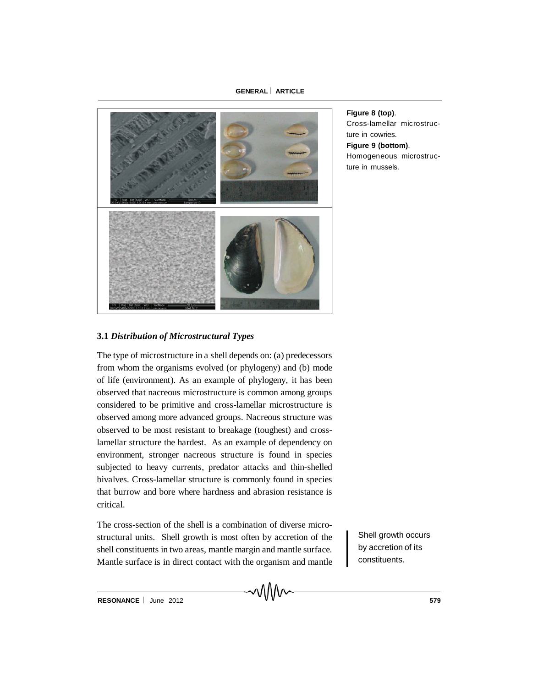

**Figure 8 (top)**. Cross-lamellar microstructure in cowries. **Figure 9 (bottom)**. Homogeneous microstructure in mussels.

# **3.1** *Distribution of Microstructural Types*

The type of microstructure in a shell depends on: (a) predecessors from whom the organisms evolved (or phylogeny) and (b) mode of life (environment). As an example of phylogeny, it has been observed that nacreous microstructure is common among groups considered to be primitive and cross-lamellar microstructure is observed among more advanced groups. Nacreous structure was observed to be most resistant to breakage (toughest) and crosslamellar structure the hardest. As an example of dependency on environment, stronger nacreous structure is found in species subjected to heavy currents, predator attacks and thin-shelled bivalves. Cross-lamellar structure is commonly found in species that burrow and bore where hardness and abrasion resistance is critical.

The cross-section of the shell is a combination of diverse microstructural units. Shell growth is most often by accretion of the shell constituents in two areas, mantle margin and mantle surface. Mantle surface is in direct contact with the organism and mantle

Shell growth occurs by accretion of its constituents.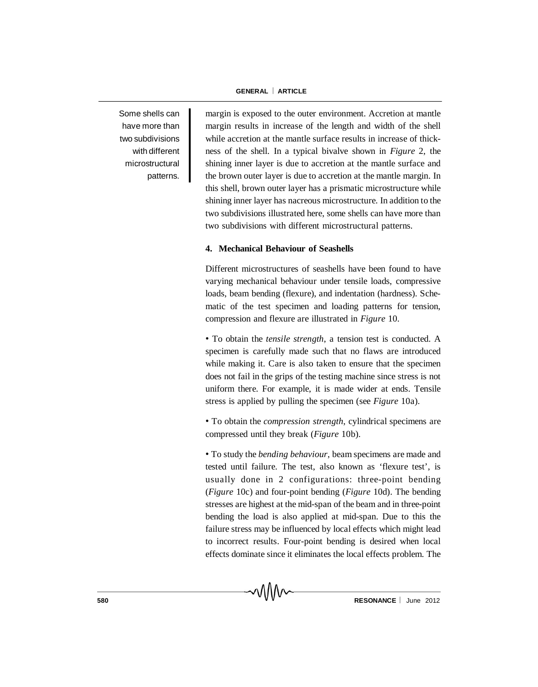Some shells can have more than two subdivisions with different microstructural patterns.

margin is exposed to the outer environment. Accretion at mantle margin results in increase of the length and width of the shell while accretion at the mantle surface results in increase of thickness of the shell. In a typical bivalve shown in *Figure* 2, the shining inner layer is due to accretion at the mantle surface and the brown outer layer is due to accretion at the mantle margin. In this shell, brown outer layer has a prismatic microstructure while shining inner layer has nacreous microstructure. In addition to the two subdivisions illustrated here, some shells can have more than two subdivisions with different microstructural patterns.

# **4. Mechanical Behaviour of Seashells**

Different microstructures of seashells have been found to have varying mechanical behaviour under tensile loads, compressive loads, beam bending (flexure), and indentation (hardness). Schematic of the test specimen and loading patterns for tension, compression and flexure are illustrated in *Figure* 10.

• To obtain the *tensile strength*, a tension test is conducted. A specimen is carefully made such that no flaws are introduced while making it. Care is also taken to ensure that the specimen does not fail in the grips of the testing machine since stress is not uniform there. For example, it is made wider at ends. Tensile stress is applied by pulling the specimen (see *Figure* 10a).

• To obtain the *compression strength*, cylindrical specimens are compressed until they break (*Figure* 10b).

• To study the *bending behaviour*, beam specimens are made and tested until failure. The test, also known as 'flexure test', is usually done in 2 configurations: three-point bending (*Figure* 10c) and four-point bending (*Figure* 10d). The bending stresses are highest at the mid-span of the beam and in three-point bending the load is also applied at mid-span. Due to this the failure stress may be influenced by local effects which might lead to incorrect results. Four-point bending is desired when local effects dominate since it eliminates the local effects problem. The

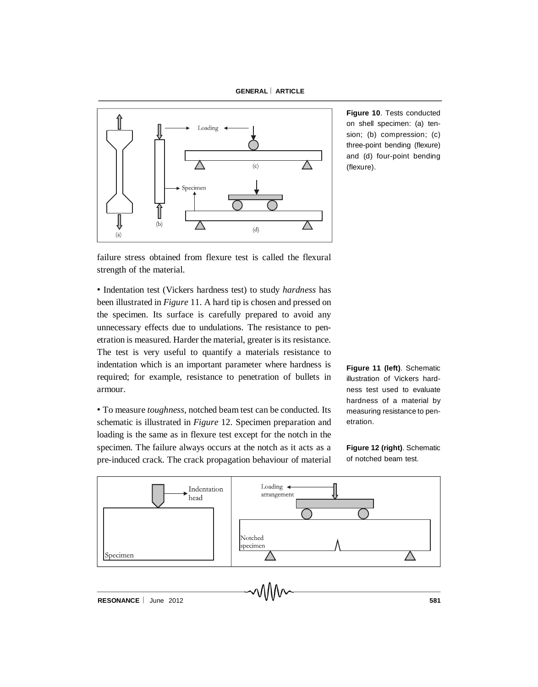

**Figure 10**. Tests conducted on shell specimen: (a) tension; (b) compression; (c) three-point bending (flexure) and (d) four-point bending (flexure).

failure stress obtained from flexure test is called the flexural strength of the material.

• Indentation test (Vickers hardness test) to study *hardness* has been illustrated in *Figure* 11. A hard tip is chosen and pressed on the specimen. Its surface is carefully prepared to avoid any unnecessary effects due to undulations. The resistance to penetration is measured. Harder the material, greater is its resistance. The test is very useful to quantify a materials resistance to indentation which is an important parameter where hardness is required; for example, resistance to penetration of bullets in armour.

• To measure *toughness*, notched beam test can be conducted. Its schematic is illustrated in *Figure* 12. Specimen preparation and loading is the same as in flexure test except for the notch in the specimen. The failure always occurs at the notch as it acts as a pre-induced crack. The crack propagation behaviour of material **Figure 11 (left)**. Schematic illustration of Vickers hardness test used to evaluate hardness of a material by measuring resistance to penetration.

**Figure 12 (right)**. Schematic of notched beam test.

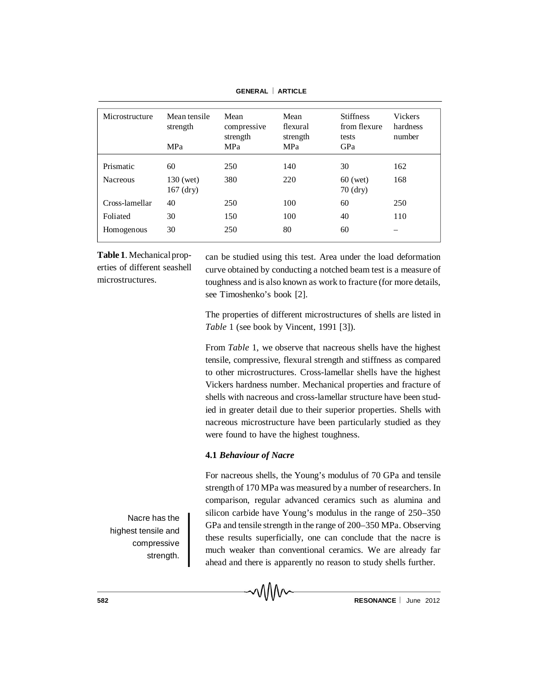| Microstructure  | Mean tensile<br>strength<br><b>MPa</b> | Mean<br>compressive<br>strength<br><b>MPa</b> | Mean<br>flexural<br>strength<br><b>MPa</b> | <b>Stiffness</b><br>from flexure<br>tests<br>GPa | <b>Vickers</b><br>hardness<br>number |
|-----------------|----------------------------------------|-----------------------------------------------|--------------------------------------------|--------------------------------------------------|--------------------------------------|
| Prismatic       | 60                                     | 250                                           | 140                                        | 30                                               | 162                                  |
| <b>Nacreous</b> | $130$ (wet)<br>$167$ (dry)             | 380                                           | 220                                        | $60$ (wet)<br>$70$ (dry)                         | 168                                  |
| Cross-lamellar  | 40                                     | 250                                           | 100                                        | 60                                               | 250                                  |
| Foliated        | 30                                     | 150                                           | 100                                        | 40                                               | 110                                  |
| Homogenous      | 30                                     | 250                                           | 80                                         | 60                                               |                                      |

**GENERAL ARTICLE**

Table 1. Mechanical properties of different seashell microstructures.

can be studied using this test. Area under the load deformation curve obtained by conducting a notched beam test is a measure of toughness and is also known as work to fracture (for more details, see Timoshenko's book [2].

The properties of different microstructures of shells are listed in *Table* 1 (see book by Vincent, 1991 [3]).

From *Table* 1, we observe that nacreous shells have the highest tensile, compressive, flexural strength and stiffness as compared to other microstructures. Cross-lamellar shells have the highest Vickers hardness number. Mechanical properties and fracture of shells with nacreous and cross-lamellar structure have been studied in greater detail due to their superior properties. Shells with nacreous microstructure have been particularly studied as they were found to have the highest toughness.

# **4.1** *Behaviour of Nacre*

MMM

For nacreous shells, the Young's modulus of 70 GPa and tensile strength of 170 MPa was measured by a number of researchers. In comparison, regular advanced ceramics such as alumina and silicon carbide have Young's modulus in the range of 250–350 GPa and tensile strength in the range of 200–350 MPa. Observing these results superficially, one can conclude that the nacre is much weaker than conventional ceramics. We are already far ahead and there is apparently no reason to study shells further.

Nacre has the highest tensile and compressive strength.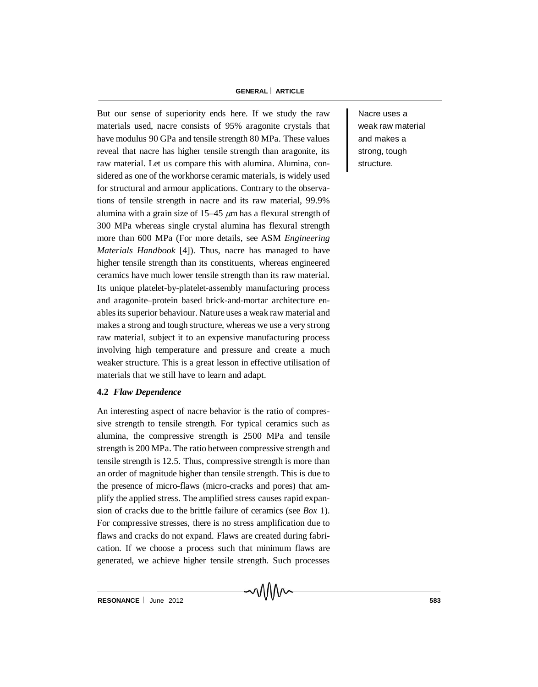But our sense of superiority ends here. If we study the raw materials used, nacre consists of 95% aragonite crystals that have modulus 90 GPa and tensile strength 80 MPa. These values reveal that nacre has higher tensile strength than aragonite, its raw material. Let us compare this with alumina. Alumina, considered as one of the workhorse ceramic materials, is widely used for structural and armour applications. Contrary to the observations of tensile strength in nacre and its raw material, 99.9% alumina with a grain size of  $15-45 \mu m$  has a flexural strength of 300 MPa whereas single crystal alumina has flexural strength more than 600 MPa (For more details, see ASM *Engineering Materials Handbook* [4]). Thus, nacre has managed to have higher tensile strength than its constituents, whereas engineered ceramics have much lower tensile strength than its raw material. Its unique platelet-by-platelet-assembly manufacturing process and aragonite–protein based brick-and-mortar architecture enables its superior behaviour. Nature uses a weak raw material and makes a strong and tough structure, whereas we use a very strong raw material, subject it to an expensive manufacturing process involving high temperature and pressure and create a much weaker structure. This is a great lesson in effective utilisation of materials that we still have to learn and adapt.

# **4.2** *Flaw Dependence*

An interesting aspect of nacre behavior is the ratio of compressive strength to tensile strength. For typical ceramics such as alumina, the compressive strength is 2500 MPa and tensile strength is 200 MPa. The ratio between compressive strength and tensile strength is 12.5. Thus, compressive strength is more than an order of magnitude higher than tensile strength. This is due to the presence of micro-flaws (micro-cracks and pores) that amplify the applied stress. The amplified stress causes rapid expansion of cracks due to the brittle failure of ceramics (see *Box* 1). For compressive stresses, there is no stress amplification due to flaws and cracks do not expand. Flaws are created during fabrication. If we choose a process such that minimum flaws are generated, we achieve higher tensile strength. Such processes

Nacre uses a weak raw material and makes a strong, tough structure.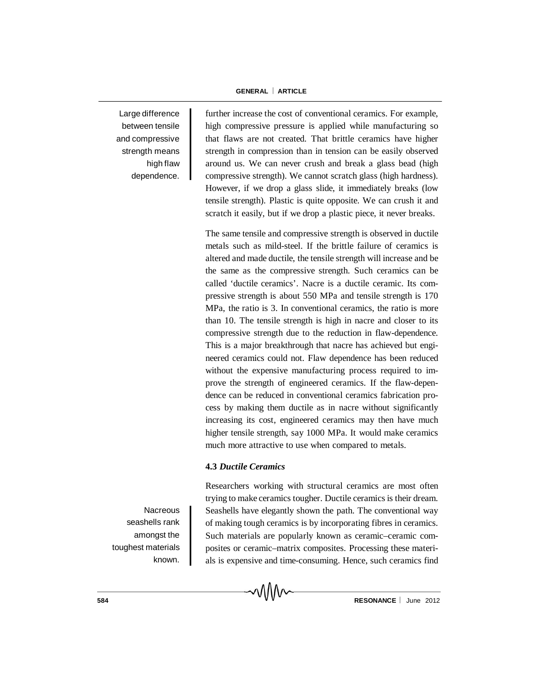Large difference between tensile and compressive strength means high flaw dependence.

further increase the cost of conventional ceramics. For example, high compressive pressure is applied while manufacturing so that flaws are not created. That brittle ceramics have higher strength in compression than in tension can be easily observed around us. We can never crush and break a glass bead (high compressive strength). We cannot scratch glass (high hardness). However, if we drop a glass slide, it immediately breaks (low tensile strength). Plastic is quite opposite. We can crush it and scratch it easily, but if we drop a plastic piece, it never breaks.

The same tensile and compressive strength is observed in ductile metals such as mild-steel. If the brittle failure of ceramics is altered and made ductile, the tensile strength will increase and be the same as the compressive strength. Such ceramics can be called 'ductile ceramics'. Nacre is a ductile ceramic. Its compressive strength is about 550 MPa and tensile strength is 170 MPa, the ratio is 3. In conventional ceramics, the ratio is more than 10. The tensile strength is high in nacre and closer to its compressive strength due to the reduction in flaw-dependence. This is a major breakthrough that nacre has achieved but engineered ceramics could not. Flaw dependence has been reduced without the expensive manufacturing process required to improve the strength of engineered ceramics. If the flaw-dependence can be reduced in conventional ceramics fabrication process by making them ductile as in nacre without significantly increasing its cost, engineered ceramics may then have much higher tensile strength, say 1000 MPa. It would make ceramics much more attractive to use when compared to metals.

# **4.3** *Ductile Ceramics*

MMM

Researchers working with structural ceramics are most often trying to make ceramics tougher. Ductile ceramics is their dream. Seashells have elegantly shown the path. The conventional way of making tough ceramics is by incorporating fibres in ceramics. Such materials are popularly known as ceramic–ceramic composites or ceramic–matrix composites. Processing these materials is expensive and time-consuming. Hence, such ceramics find

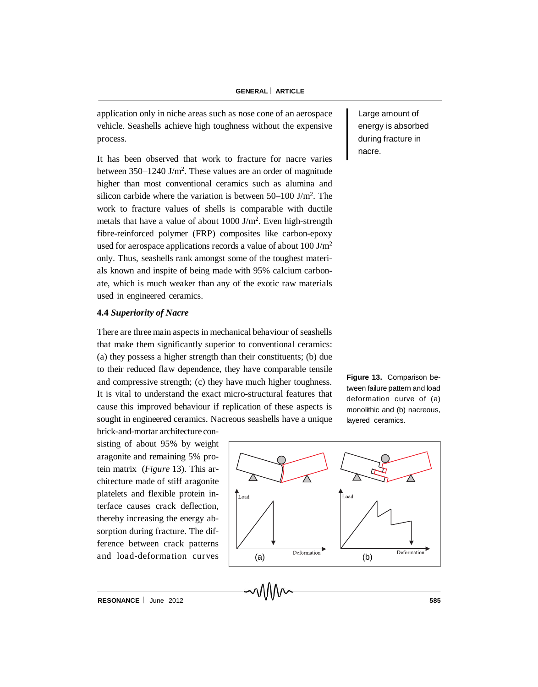application only in niche areas such as nose cone of an aerospace vehicle. Seashells achieve high toughness without the expensive process.

It has been observed that work to fracture for nacre varies between  $350-1240$  J/m<sup>2</sup>. These values are an order of magnitude higher than most conventional ceramics such as alumina and silicon carbide where the variation is between  $50-100$  J/m<sup>2</sup>. The work to fracture values of shells is comparable with ductile metals that have a value of about 1000 J/m<sup>2</sup>. Even high-strength fibre-reinforced polymer (FRP) composites like carbon-epoxy used for aerospace applications records a value of about  $100 \text{ J/m}^2$ only. Thus, seashells rank amongst some of the toughest materials known and inspite of being made with 95% calcium carbonate, which is much weaker than any of the exotic raw materials used in engineered ceramics.

# **4.4** *Superiority of Nacre*

There are three main aspects in mechanical behaviour of seashells that make them significantly superior to conventional ceramics: (a) they possess a higher strength than their constituents; (b) due to their reduced flaw dependence, they have comparable tensile and compressive strength; (c) they have much higher toughness. It is vital to understand the exact micro-structural features that cause this improved behaviour if replication of these aspects is sought in engineered ceramics. Nacreous seashells have a unique

Large amount of energy is absorbed during fracture in nacre.

**Figure 13.** Comparison between failure pattern and load deformation curve of (a) monolithic and (b) nacreous, layered ceramics.

brick-and-mortar architecture consisting of about 95% by weight aragonite and remaining 5% protein matrix (*Figure* 13). This architecture made of stiff aragonite platelets and flexible protein interface causes crack deflection, thereby increasing the energy absorption during fracture. The difference between crack patterns and load-deformation curves



**RESONANCE** June 2012 **585**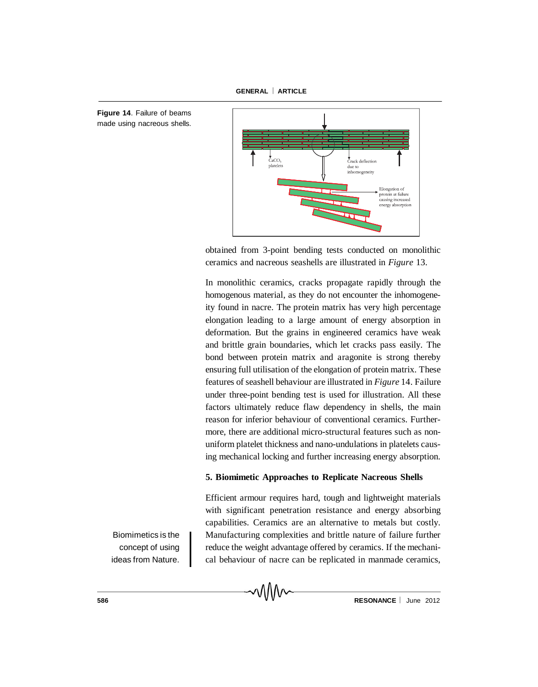



obtained from 3-point bending tests conducted on monolithic ceramics and nacreous seashells are illustrated in *Figure* 13.

In monolithic ceramics, cracks propagate rapidly through the homogenous material, as they do not encounter the inhomogeneity found in nacre. The protein matrix has very high percentage elongation leading to a large amount of energy absorption in deformation. But the grains in engineered ceramics have weak and brittle grain boundaries, which let cracks pass easily. The bond between protein matrix and aragonite is strong thereby ensuring full utilisation of the elongation of protein matrix. These features of seashell behaviour are illustrated in *Figure* 14. Failure under three-point bending test is used for illustration. All these factors ultimately reduce flaw dependency in shells, the main reason for inferior behaviour of conventional ceramics. Furthermore, there are additional micro-structural features such as nonuniform platelet thickness and nano-undulations in platelets causing mechanical locking and further increasing energy absorption.

## **5. Biomimetic Approaches to Replicate Nacreous Shells**

Efficient armour requires hard, tough and lightweight materials with significant penetration resistance and energy absorbing capabilities. Ceramics are an alternative to metals but costly. Manufacturing complexities and brittle nature of failure further reduce the weight advantage offered by ceramics. If the mechanical behaviour of nacre can be replicated in manmade ceramics,

MMM

Biomimetics is the concept of using ideas from Nature.

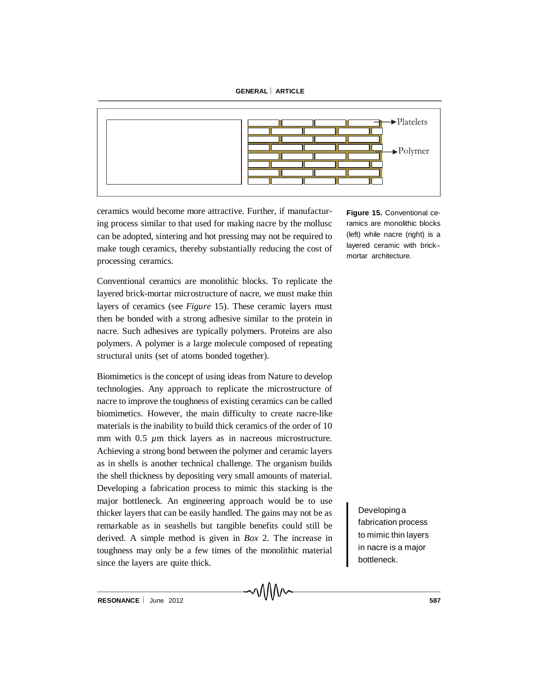**GENERAL ARTICLE**



ceramics would become more attractive. Further, if manufacturing process similar to that used for making nacre by the mollusc can be adopted, sintering and hot pressing may not be required to make tough ceramics, thereby substantially reducing the cost of processing ceramics*.*

Conventional ceramics are monolithic blocks. To replicate the layered brick-mortar microstructure of nacre, we must make thin layers of ceramics (see *Figure* 15). These ceramic layers must then be bonded with a strong adhesive similar to the protein in nacre. Such adhesives are typically polymers. Proteins are also polymers. A polymer is a large molecule composed of repeating structural units (set of atoms bonded together).

Biomimetics is the concept of using ideas from Nature to develop technologies. Any approach to replicate the microstructure of nacre to improve the toughness of existing ceramics can be called biomimetics. However, the main difficulty to create nacre-like materials is the inability to build thick ceramics of the order of 10 mm with 0.5 *μm* thick layers as in nacreous microstructure. Achieving a strong bond between the polymer and ceramic layers as in shells is another technical challenge. The organism builds the shell thickness by depositing very small amounts of material. Developing a fabrication process to mimic this stacking is the major bottleneck. An engineering approach would be to use thicker layers that can be easily handled. The gains may not be as remarkable as in seashells but tangible benefits could still be derived. A simple method is given in *Box* 2. The increase in toughness may only be a few times of the monolithic material since the layers are quite thick.

**Figure 15.** Conventional ceramics are monolithic blocks (left) while nacre (right) is a layered ceramic with brick– mortar architecture.

> Developinga fabrication process to mimic thin layers in nacre is a major bottleneck.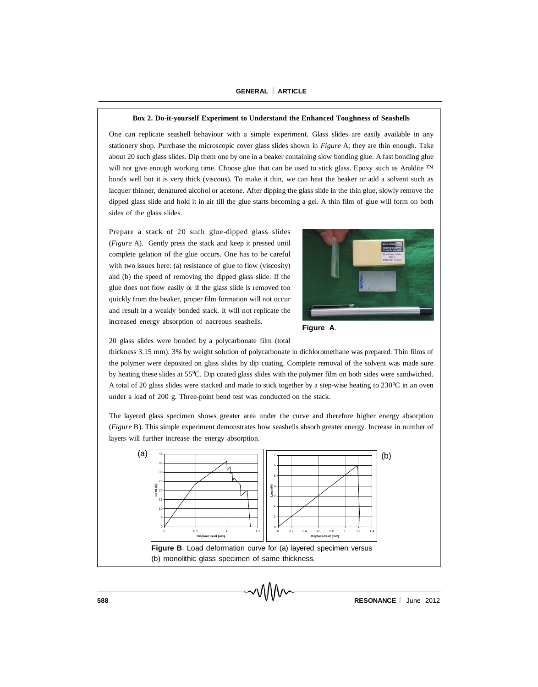#### **Box 2. Do-it-yourself Experiment to Understand the Enhanced Toughness of Seashells**

One can replicate seashell behaviour with a simple experiment. Glass slides are easily available in any stationery shop. Purchase the microscopic cover glass slides shown in *Figure* A; they are thin enough. Take about 20 such glass slides. Dip them one by one in a beaker containing slow bonding glue. A fast bonding glue will not give enough working time. Choose glue that can be used to stick glass. Epoxy such as Araldite ™ bonds well but it is very thick (viscous). To make it thin, we can heat the beaker or add a solvent such as lacquer thinner, denatured alcohol or acetone. After dipping the glass slide in the thin glue, slowly remove the dipped glass slide and hold it in air till the glue starts becoming a gel. A thin film of glue will form on both sides of the glass slides.

Prepare a stack of 20 such glue-dipped glass slides (*Figure* A). Gently press the stack and keep it pressed until complete gelation of the glue occurs. One has to be careful with two issues here: (a) resistance of glue to flow (viscosity) and (b) the speed of removing the dipped glass slide. If the glue does not flow easily or if the glass slide is removed too quickly from the beaker, proper film formation will not occur and result in a weakly bonded stack. It will not replicate the increased energy absorption of nacreous seashells.





20 glass slides were bonded by a polycarbonate film (total

thickness 3.15 mm). 3% by weight solution of polycarbonate in dichloromethane was prepared. Thin films of the polymer were deposited on glass slides by dip coating. Complete removal of the solvent was made sure by heating these slides at 55<sup>0</sup>C. Dip coated glass slides with the polymer film on both sides were sandwiched. A total of 20 glass slides were stacked and made to stick together by a step-wise heating to  $230^{\circ}$ C in an oven under a load of 200 g. Three-point bend test was conducted on the stack.

The layered glass specimen shows greater area under the curve and therefore higher energy absorption (*Figure* B). This simple experiment demonstrates how seashells absorb greater energy. Increase in number of layers will further increase the energy absorption.

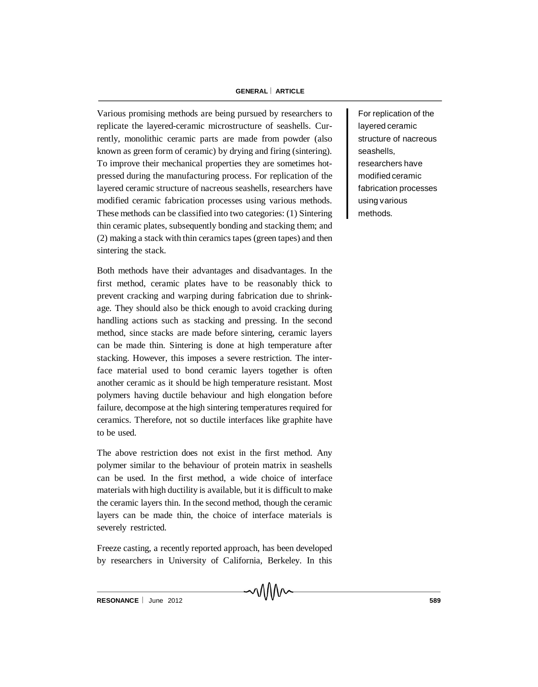Various promising methods are being pursued by researchers to replicate the layered-ceramic microstructure of seashells. Currently, monolithic ceramic parts are made from powder (also known as green form of ceramic) by drying and firing (sintering). To improve their mechanical properties they are sometimes hotpressed during the manufacturing process. For replication of the layered ceramic structure of nacreous seashells, researchers have modified ceramic fabrication processes using various methods. These methods can be classified into two categories: (1) Sintering thin ceramic plates, subsequently bonding and stacking them; and (2) making a stack with thin ceramics tapes (green tapes) and then sintering the stack.

Both methods have their advantages and disadvantages. In the first method, ceramic plates have to be reasonably thick to prevent cracking and warping during fabrication due to shrinkage. They should also be thick enough to avoid cracking during handling actions such as stacking and pressing. In the second method, since stacks are made before sintering, ceramic layers can be made thin. Sintering is done at high temperature after stacking. However, this imposes a severe restriction. The interface material used to bond ceramic layers together is often another ceramic as it should be high temperature resistant*.* Most polymers having ductile behaviour and high elongation before failure, decompose at the high sintering temperatures required for ceramics. Therefore, not so ductile interfaces like graphite have to be used.

The above restriction does not exist in the first method. Any polymer similar to the behaviour of protein matrix in seashells can be used. In the first method, a wide choice of interface materials with high ductility is available, but it is difficult to make the ceramic layers thin. In the second method, though the ceramic layers can be made thin, the choice of interface materials is severely restricted.

Freeze casting, a recently reported approach, has been developed by researchers in University of California, Berkeley. In this

For replication of the layered ceramic structure of nacreous seashells, researchers have modified ceramic fabrication processes using various methods.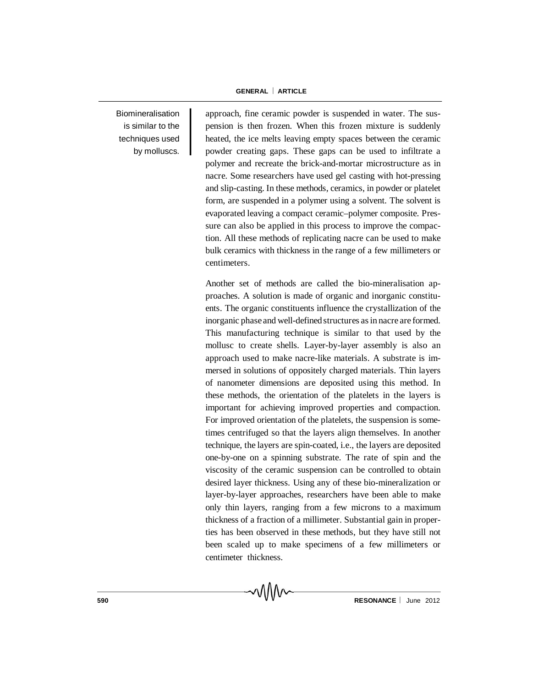Biomineralisation is similar to the techniques used by molluscs. approach, fine ceramic powder is suspended in water. The suspension is then frozen. When this frozen mixture is suddenly heated, the ice melts leaving empty spaces between the ceramic powder creating gaps. These gaps can be used to infiltrate a polymer and recreate the brick-and-mortar microstructure as in nacre. Some researchers have used gel casting with hot-pressing and slip-casting. In these methods, ceramics, in powder or platelet form, are suspended in a polymer using a solvent. The solvent is evaporated leaving a compact ceramic–polymer composite. Pressure can also be applied in this process to improve the compaction. All these methods of replicating nacre can be used to make bulk ceramics with thickness in the range of a few millimeters or centimeters.

Another set of methods are called the bio-mineralisation approaches. A solution is made of organic and inorganic constituents. The organic constituents influence the crystallization of the inorganic phase and well-defined structures as in nacre are formed. This manufacturing technique is similar to that used by the mollusc to create shells. Layer-by-layer assembly is also an approach used to make nacre-like materials. A substrate is immersed in solutions of oppositely charged materials. Thin layers of nanometer dimensions are deposited using this method. In these methods, the orientation of the platelets in the layers is important for achieving improved properties and compaction. For improved orientation of the platelets, the suspension is sometimes centrifuged so that the layers align themselves. In another technique, the layers are spin-coated, i.e., the layers are deposited one-by-one on a spinning substrate. The rate of spin and the viscosity of the ceramic suspension can be controlled to obtain desired layer thickness. Using any of these bio-mineralization or layer-by-layer approaches, researchers have been able to make only thin layers, ranging from a few microns to a maximum thickness of a fraction of a millimeter. Substantial gain in properties has been observed in these methods, but they have still not been scaled up to make specimens of a few millimeters or centimeter thickness.

MMM